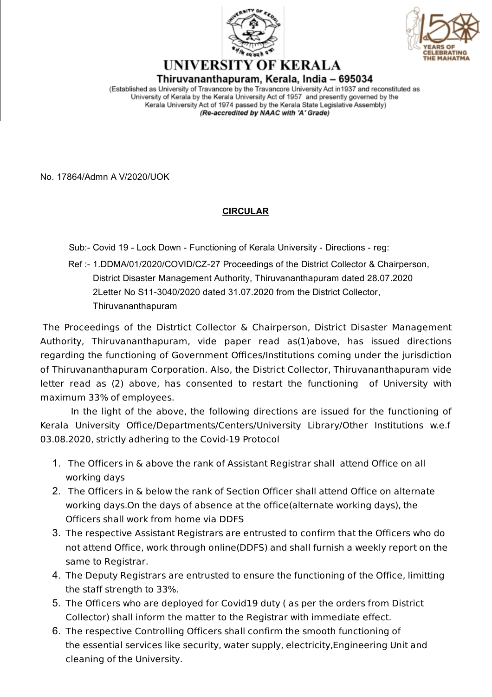



## UNIVERSITY OF KERALA Thiruvananthapuram, Kerala, India – 695034

(Established as University of Travancore by the Travancore University Act in 1937 and reconstituted as University of Kerala by the Kerala University Act of 1957 and presently governed by the Kerala University Act of 1974 passed by the Kerala State Legislative Assembly) (Re-accredited by NAAC with 'A' Grade)

No. 17864/Admn A V/2020/UOK

## **CIRCULAR**

Sub:- Covid 19 - Lock Down - Functioning of Kerala University - Directions - reg:

Ref :- 1.DDMA/01/2020/COVID/CZ-27 Proceedings of the District Collector & Chairperson, District Disaster Management Authority, Thiruvananthapuram dated 28.07.2020 2Letter No S11-3040/2020 dated 31.07.2020 from the District Collector, Thiruvananthapuram

The Proceedings of the Distrtict Collector & Chairperson, District Disaster Management Authority, Thiruvananthapuram, vide paper read as(1)above, has issued directions regarding the functioning of Government Offices/Institutions coming under the jurisdiction of Thiruvananthapuram Corporation. Also, the District Collector, Thiruvananthapuram vide letter read as (2) above, has consented to restart the functioning of University with maximum 33% of employees.

In the light of the above, the following directions are issued for the functioning of Kerala University Office/Departments/Centers/University Library/Other Institutions w.e.f 03.08.2020, strictly adhering to the Covid-19 Protocol

- 1. The Officers in & above the rank of Assistant Registrar shall attend Office on all working days
- 2. The Officers in & below the rank of Section Officer shall attend Office on alternate working days.On the days of absence at the office(alternate working days), the Officers shall work from home via DDFS
- 3. The respective Assistant Registrars are entrusted to confirm that the Officers who do not attend Office, work through online(DDFS) and shall furnish a weekly report on the same to Registrar.
- 4. The Deputy Registrars are entrusted to ensure the functioning of the Office, limitting the staff strength to 33%.
- 5. The Officers who are deployed for Covid19 duty ( as per the orders from District Collector) shall inform the matter to the Registrar with immediate effect.
- 6. The respective Controlling Officers shall confirm the smooth functioning of the essential services like security, water supply, electricity,Engineering Unit and cleaning of the University.